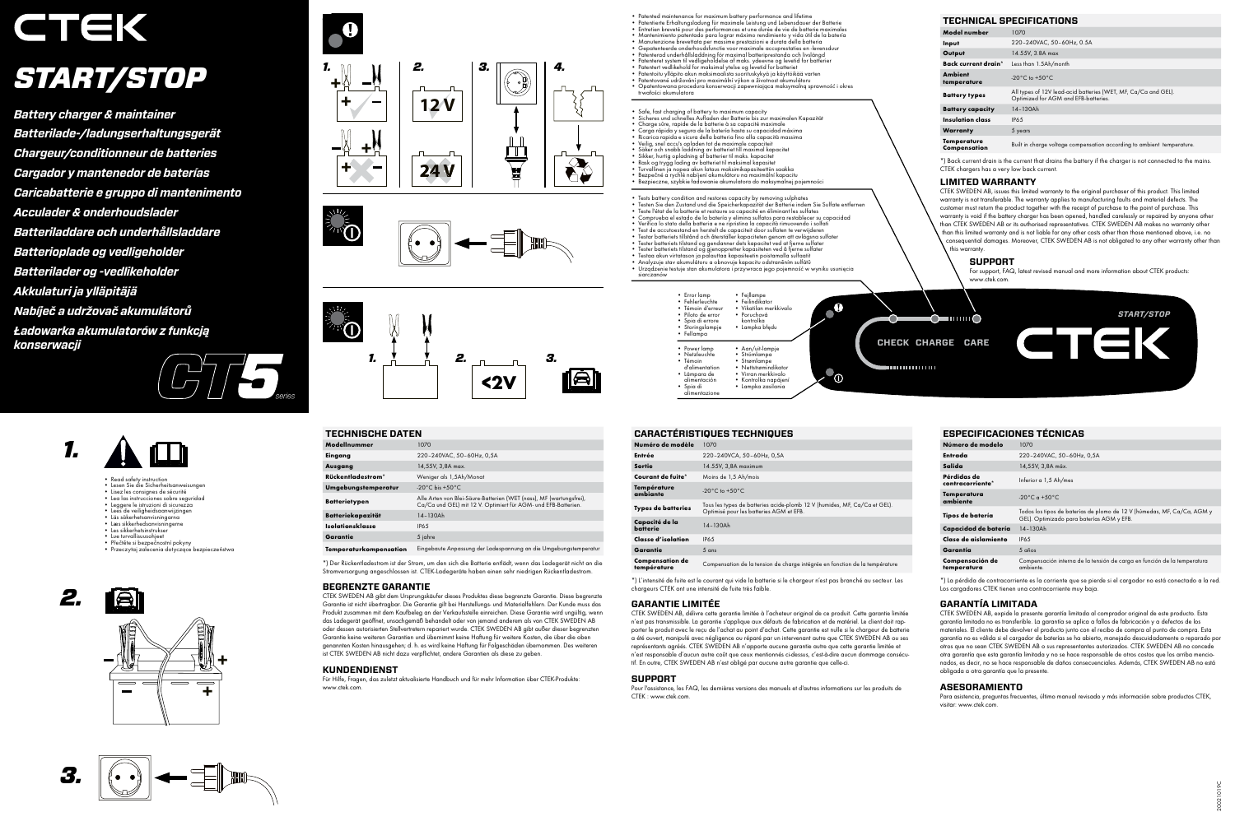



**CHECK CHARGE CARE**

 $\bigcirc$   $\blacksquare$ 

*START/STOP*

- 
- Patentiete Emalulungsladung für maximum battery performance and lifetime<br>• Patentiete Emalulungsladung für maximale Leistung und Lebensdauer der Batterie<br>• Entretien breveté pour des performances et une durée de vie de b *START/START/START/START/STOP*<br>3<br>Annual
- 
- 
- 
- 
- 
- Opatentowana procedura konserwacji zapewniająca maksymalną sprawność i okres<br>trwałości akumulatora
- 
- Safe, fast charging of battery to maximum capacity<br>• Sicheres und schnelles Aufladen der Batterie bis zur maximalen Kapazität<br>• Charge sûre, rapide de la batterie à sa capacité maximale
- 
- • Carga rápida y segura de la batería hasta su capacidad máxima • Ricarica rapida e sicura della batteria fino alla capacità massima • Veilig, snel accu's opladen tot de maximale capaciteit
- 
- 
- • Säker och snabb laddning av batteriet till maximal kapacitet • Sikker, hurtig opladning af batterier til maks. kapacitet • Rask og trygg lading av batteriet til maksimal kapasitet
- 
- Turvallinen ja nopea akun lataus maksimikapasiteettiin saakka<br>• Bezpečné a rychlé nabíjení akumulátoru na maximální kapacitu<br>• Bezpieczne, szybkie ładowanie akumulatora do maksymalnej pojemności
- 
- 
- 
- 
- 
- 
- 
- 
- 
- Tests battery condition and restores capacity by removing sulphates<br>
Tests bisie an Zustand und die Spiciclerkapazzität der Batterie indensity<br>
Teste l'étiet de la batterie et restaure sa capacité en éliminant les s siarczanów





- **Pead safety instruction**
- • Lesen Sie die Sicherheitsanweisungen • Lisez les consignes de sécurité • Lea las instrucciones sobre seguridad
- 
- • Leggere le istruzioni di sicurezza • Lees de veiligheidsaanwijzingen • Läs säkerhetsanvisningarna
- 
- • Læs sikkerhedsanvisningerne • Les sikkerhetsinstrukser
- 
- Lue turvallisuusohjeet • Přečtěte si bezpečnostní pokyny
- • Przeczytaj zalecenia dotyczące bezpieczeństwa







# **TECHNICAL SPECIFICATIONS**

| Model number                  | 1070                                                                                                   |
|-------------------------------|--------------------------------------------------------------------------------------------------------|
| Input                         | 220-240VAC, 50-60Hz, 0.5A                                                                              |
| Output                        | 14.55V, 3.8A max                                                                                       |
| Back current drain*           | Less than 1.5Ah/month                                                                                  |
| <b>Ambient</b><br>temperature | -20 $^{\circ}$ C to +50 $^{\circ}$ C                                                                   |
| <b>Battery types</b>          | All types of 12V lead-acid batteries (WET, MF, Ca/Ca and GEL).<br>Optimized for AGM and EFB-batteries. |
| <b>Battery capacity</b>       | $14 - 130Ah$                                                                                           |
| Insulation class              | <b>IP65</b>                                                                                            |
| Warranty                      | 5 years                                                                                                |
| Temperature<br>Compensation   | Built in charge voltage compensation according to ambient temperature.                                 |

\*) Back current drain is the current that drains the battery if the charger is not connected to the mains. CTEK chargers has a very low back current.

# **LIMITED WARRANTY**

CTEK SWEDEN AB, issues this limited warranty to the original purchaser of this product. This limited warranty is not transferable. The warranty applies to manufacturing faults and material defects. The customer must return the product together with the receipt of purchase to the point of purchase. This warranty is void if the battery charger has been opened, handled carelessly or repaired by anyone other than CTEK SWEDEN AB or its authorised representatives. CTEK SWEDEN AB makes no warranty other than this limited warranty and is not liable for any other costs other than those mentioned above, i.e. no consequential damages. Moreover, CTEK SWEDEN AB is not obligated to any other warranty other than this warranty.

# CTEK *START/STOP*

#### **SUPPORT**

For support, FAQ, latest revised manual and more information about CTEK products: www.ctek.com.

#### **TECHNISCHE DATEN**

| Modellnummer           | 1070                                                                                                                                  |
|------------------------|---------------------------------------------------------------------------------------------------------------------------------------|
| Eingang                | 220-240VAC, 50-60Hz, 0,5A                                                                                                             |
| Ausgang                | 14,55V, 3,8A max.                                                                                                                     |
| Rückentladestrom*      | Weniger als 1,5Ah/Monat                                                                                                               |
| Umgebungstemperatur    | -20 $^{\circ}$ C bis +50 $^{\circ}$ C                                                                                                 |
| Batterietypen          | Alle Arten von Blei-Säure-Batterien (WET (nass), MF (wartungsfrei),<br>Ca/Ca und GEL) mit 12 V. Optimiert für AGM- und EFB-Batterien. |
| Batteriekapazität      | 14-130Ah                                                                                                                              |
| Isolationsklasse       | <b>IP65</b>                                                                                                                           |
| Garantie               | 5 jahre                                                                                                                               |
| Temperaturkompensation | Eingebaute Anpassung der Ladespannung an die Umgebungstemperatur                                                                      |

\*) Der Rückentladestrom ist der Strom, um den sich die Batterie entlädt, wenn das Ladegerät nicht an die Stromversorgung angeschlossen ist. CTEK-Ladegeräte haben einen sehr niedrigen Rückentladestrom.

#### **BEGRENZTE GARANTIE**

CTEK SWEDEN AB gibt dem Ursprungskäufer dieses Produktes diese begrenzte Garantie. Diese begrenzte Garantie ist nicht übertragbar. Die Garantie gilt bei Herstellungs- und Materialfehlern. Der Kunde muss das Produkt zusammen mit dem Kaufbeleg an der Verkaufsstelle einreichen. Diese Garantie wird ungültig, wenn das Ladegerät geöffnet, unsachgemäß behandelt oder von jemand anderem als von CTEK SWEDEN AB oder dessen autorisierten Stellvertretern repariert wurde. CTEK SWEDEN AB gibt außer dieser begrenzten Garantie keine weiteren Garantien und übernimmt keine Haftung für weitere Kosten, die über die oben genannten Kosten hinausgehen; d. h. es wird keine Haftung für Folgeschäden übernommen. Des weiteren ist CTEK SWEDEN AB nicht dazu verpflichtet, andere Garantien als diese zu geben.

#### **KUNDENDIENST**

Für Hilfe, Fragen, das zuletzt aktualisierte Handbuch und für mehr Information über CTEK-Produkte: www.ctek.com.

#### **CARACTÉRISTIQUES TECHNIQUES**

| Numéro de modèle                      | 1070                                                                                                                 |
|---------------------------------------|----------------------------------------------------------------------------------------------------------------------|
| Entrée                                | 220-240VCA, 50-60Hz, 0,5A                                                                                            |
| Sortie                                | 14.55V, 3,8A maximum                                                                                                 |
| Courant de fuite*                     | Moins de 1,5 Ah/mois                                                                                                 |
| Température<br>ambiante               | -20 $^{\circ}$ C to +50 $^{\circ}$ C                                                                                 |
| <b>Types de batteries</b>             | Tous les types de batteries acide-plomb 12 V (humides, MF, Ca/Ca et GEL).<br>Optimisé pour les batteries AGM et EFB. |
| Capacité de la<br>batterie            | 14-130Ah                                                                                                             |
| Classe d'isolation                    | <b>IP65</b>                                                                                                          |
| Garantie                              | $5$ ans                                                                                                              |
| <b>Compensation de</b><br>température | Compensation de la tension de charge intégrée en fonction de la température                                          |

\*) L'intensité de fuite est le courant qui vide la batterie si le chargeur n'est pas branché au secteur. Les chargeurs CTEK ont une intensité de fuite très faible.

#### **GARANTIE LIMITÉE**

CTEK SWEDEN AB, délivre cette garantie limitée à l'acheteur original de ce produit. Cette garantie limitée n'est pas transmissible. La garantie s'applique aux défauts de fabrication et de matériel. Le client doit rapporter le produit avec le reçu de l'achat au point d'achat. Cette garantie est nulle si le chargeur de batterie a été ouvert, manipulé avec négligence ou réparé par un intervenant autre que CTEK SWEDEN AB ou ses représentants agréés. CTEK SWEDEN AB n'apporte aucune garantie autre que cette garantie limitée et n'est responsable d'aucun autre coût que ceux mentionnés ci-dessus, c'est-à-dire aucun dommage consécutif. En outre, CTEK SWEDEN AB n'est obligé par aucune autre garantie que celle-ci.

#### **SUPPORT**

Pour l'assistance, les FAQ, les dernières versions des manuels et d'autres informations sur les produits de CTEK : www.ctek.com.

# **ESPECIFICACIONES TÉCNICAS**

| Número de modelo                | 1070                                                                                                                 |
|---------------------------------|----------------------------------------------------------------------------------------------------------------------|
| Entrada                         | 220-240VAC, 50-60Hz, 0,5A                                                                                            |
| Salida                          | 14,55V, 3,8A máx.                                                                                                    |
| Pérdidas de<br>contracorriente* | Inferior a 1,5 Ah/mes                                                                                                |
| <b>Temperatura</b><br>ambiente  | $-20^{\circ}$ C a $+50^{\circ}$ C                                                                                    |
| Tipos de batería                | Todos los tipos de baterías de plomo de 12 V (húmedas, MF, Ca/Ca, AGM y<br>GEL). Optimizado para baterías AGM y EFB. |
| Capacidad de batería            | $14 - 130Ah$                                                                                                         |
| Clase de aislamiento            | <b>IP65</b>                                                                                                          |
| Garantía                        | 5 años                                                                                                               |
| Compensación de<br>temperatura  | Compensación interna de la tensión de carga en función de la temperatura<br>ambiente.                                |

\*) La pérdida de contracorriente es la corriente que se pierde si el cargador no está conectado a la red. Los cargadores CTEK tienen una contracorriente muy baja.

# **GARANTÍA LIMITADA**

CTEK SWEDEN AB, expide la presente garantía limitada al comprador original de este producto. Esta garantía limitada no es transferible. La garantía se aplica a fallos de fabricación y a defectos de los materiales. El cliente debe devolver el producto junto con el recibo de compra al punto de compra. Esta garantía no es válida si el cargador de baterías se ha abierto, manejado descuidadamente o reparado por otros que no sean CTEK SWEDEN AB o sus representantes autorizados. CTEK SWEDEN AB no concede otra garantía que esta garantía limitada y no se hace responsable de otros costos que los arriba mencionados, es decir, no se hace responsable de daños consecuenciales. Además, CTEK SWEDEN AB no está obligada a otra garantía que la presente.

#### **ASESORAMIENTO**

Para asistencia, preguntas frecuentes, último manual revisado y más información sobre productos CTEK, visitar: www.ctek.com.

*Battery charger & maintainer Batterilade-/ladungserhaltungsgerät Chargeur/conditionneur de batteries Cargador y mantenedor de baterías Caricabatterie e gruppo di mantenimento Acculader & onderhoudslader Batteriladdare och underhållsladdare Batterioplade og vedligeholder Batterilader og -vedlikeholder Akkulaturi ja ylläpitäjä Nabíječ a udržovač akumulátorů Ładowarka akumulatorów z funkcją konserwacji*